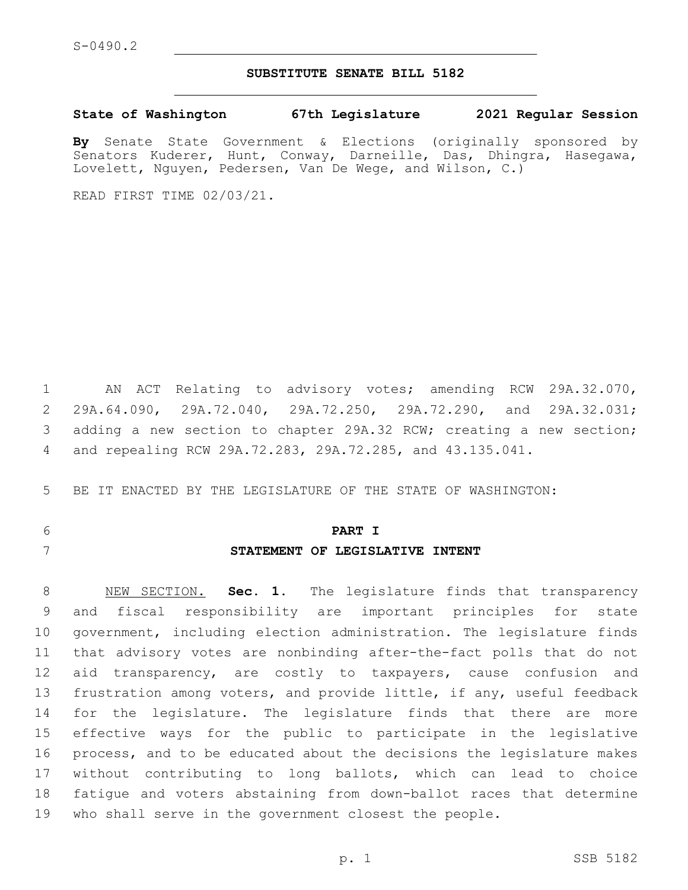## **SUBSTITUTE SENATE BILL 5182**

**State of Washington 67th Legislature 2021 Regular Session**

**By** Senate State Government & Elections (originally sponsored by Senators Kuderer, Hunt, Conway, Darneille, Das, Dhingra, Hasegawa, Lovelett, Nguyen, Pedersen, Van De Wege, and Wilson, C.)

READ FIRST TIME 02/03/21.

 AN ACT Relating to advisory votes; amending RCW 29A.32.070, 29A.64.090, 29A.72.040, 29A.72.250, 29A.72.290, and 29A.32.031; adding a new section to chapter 29A.32 RCW; creating a new section; and repealing RCW 29A.72.283, 29A.72.285, and 43.135.041.

BE IT ENACTED BY THE LEGISLATURE OF THE STATE OF WASHINGTON:

**PART I**

## **STATEMENT OF LEGISLATIVE INTENT**

 NEW SECTION. **Sec. 1.** The legislature finds that transparency and fiscal responsibility are important principles for state government, including election administration. The legislature finds that advisory votes are nonbinding after-the-fact polls that do not 12 aid transparency, are costly to taxpayers, cause confusion and frustration among voters, and provide little, if any, useful feedback for the legislature. The legislature finds that there are more effective ways for the public to participate in the legislative process, and to be educated about the decisions the legislature makes without contributing to long ballots, which can lead to choice fatigue and voters abstaining from down-ballot races that determine who shall serve in the government closest the people.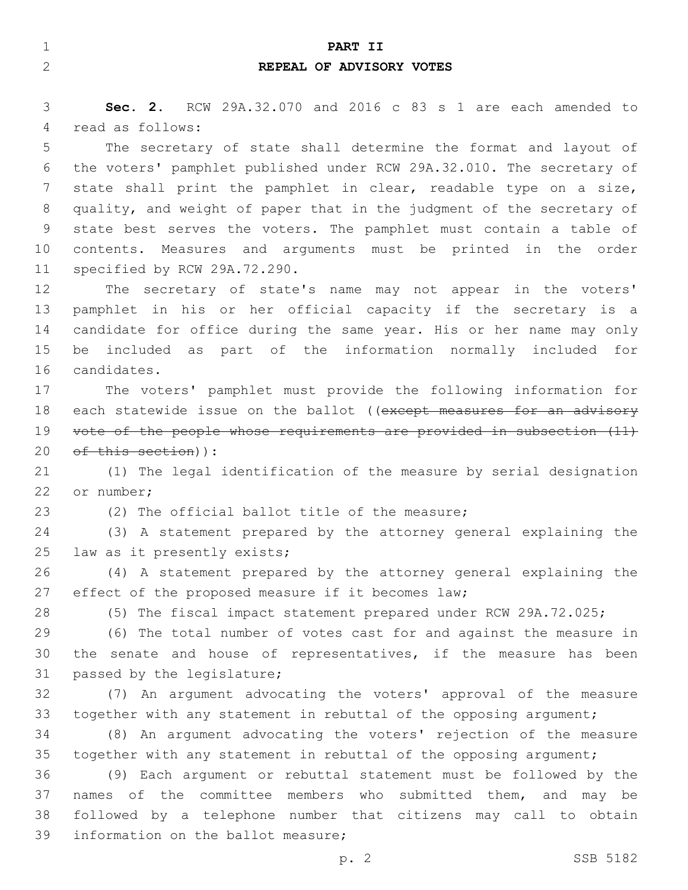| $\mathbf 1$ | PART II                                                               |
|-------------|-----------------------------------------------------------------------|
| 2           | REPEAL OF ADVISORY VOTES                                              |
|             |                                                                       |
| 3           | Sec. 2. RCW 29A.32.070 and 2016 c 83 s 1 are each amended to          |
| 4           | read as follows:                                                      |
| 5           | The secretary of state shall determine the format and layout of       |
| 6           | the voters' pamphlet published under RCW 29A.32.010. The secretary of |
| 7           | state shall print the pamphlet in clear, readable type on a size,     |
| 8           | quality, and weight of paper that in the judgment of the secretary of |
| 9           | state best serves the voters. The pamphlet must contain a table of    |
| 10          | contents. Measures and arguments must be printed in the order         |
| 11          | specified by RCW 29A.72.290.                                          |
| 12          | The secretary of state's name may not appear in the voters'           |
| 13          | pamphlet in his or her official capacity if the secretary is a        |
| 14          | candidate for office during the same year. His or her name may only   |
| 15          | included as part of the information normally included for<br>be       |
| 16          | candidates.                                                           |
| 17          | The voters' pamphlet must provide the following information for       |
| 18          | each statewide issue on the ballot ((except measures for an advisory  |
| 19          | vote of the people whose requirements are provided in subsection (11) |
| 20          | of this section)):                                                    |
| 21          | (1) The legal identification of the measure by serial designation     |
| 22          | or number;                                                            |
| 23          | (2) The official ballot title of the measure;                         |
| 24          | (3) A statement prepared by the attorney general explaining the       |
| 25          | law as it presently exists;                                           |
| 26          | (4) A statement prepared by the attorney general explaining the       |
| 27          | effect of the proposed measure if it becomes law;                     |
| 28          | (5) The fiscal impact statement prepared under RCW 29A.72.025;        |
| 29          | (6) The total number of votes cast for and against the measure in     |
| 30          | the senate and house of representatives, if the measure has been      |
| 31          | passed by the legislature;                                            |
| 32          | (7) An argument advocating the voters' approval of the measure        |
| 33          | together with any statement in rebuttal of the opposing argument;     |
| 34          | (8) An argument advocating the voters' rejection of the measure       |
| 35          | together with any statement in rebuttal of the opposing argument;     |
| 36          | (9) Each argument or rebuttal statement must be followed by the       |
| 37          | names of the committee members who submitted them, and may be         |
| 38          | followed by a telephone number that citizens may call to obtain       |
| 39          | information on the ballot measure;                                    |
|             | SSB 5182<br>p. 2                                                      |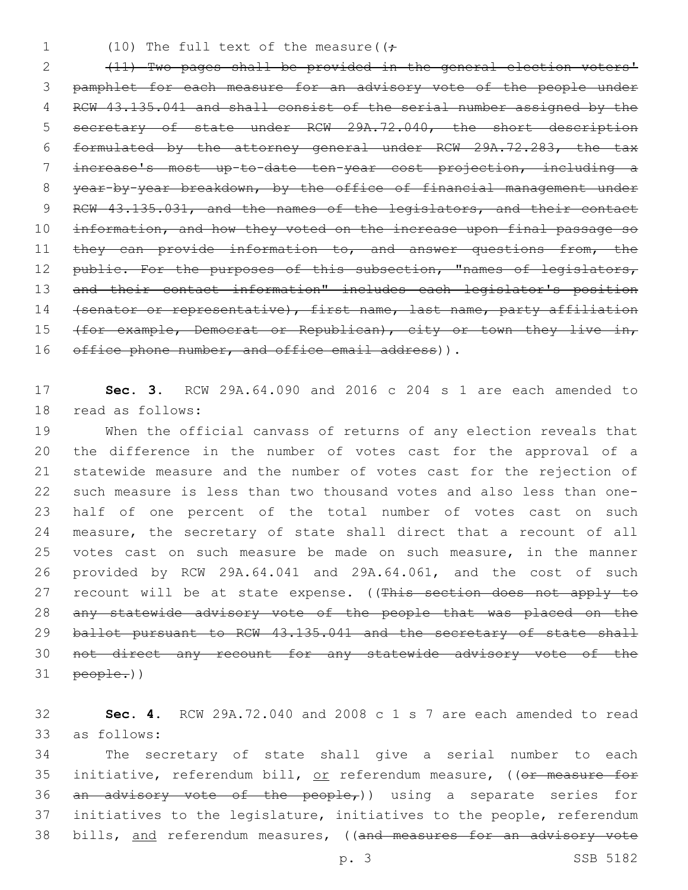1 (10) The full text of the measure( $($ 

2 (11) Two pages shall be provided in the general election voters' 3 pamphlet for each measure for an advisory vote of the people under 4 RCW 43.135.041 and shall consist of the serial number assigned by the 5 secretary of state under RCW 29A.72.040, the short description 6 formulated by the attorney general under RCW 29A.72.283, the tax 7 increase's most up-to-date ten-year cost projection, including a 8 year-by-year breakdown, by the office of financial management under 9 RCW 43.135.031, and the names of the legislators, and their contact 10 information, and how they voted on the increase upon final passage so 11 they can provide information to, and answer questions from, the 12 public. For the purposes of this subsection, "names of legislators, 13 and their contact information" includes each legislator's position 14 (senator or representative), first name, last name, party affiliation 15 (for example, Democrat or Republican), city or town they live in, 16 office phone number, and office email address)).

17 **Sec. 3.** RCW 29A.64.090 and 2016 c 204 s 1 are each amended to 18 read as follows:

 When the official canvass of returns of any election reveals that the difference in the number of votes cast for the approval of a statewide measure and the number of votes cast for the rejection of such measure is less than two thousand votes and also less than one- half of one percent of the total number of votes cast on such measure, the secretary of state shall direct that a recount of all votes cast on such measure be made on such measure, in the manner provided by RCW 29A.64.041 and 29A.64.061, and the cost of such 27 recount will be at state expense. ((This section does not apply to any statewide advisory vote of the people that was placed on the 29 ballot pursuant to RCW 43.135.041 and the secretary of state shall not direct any recount for any statewide advisory vote of the people.))

32 **Sec. 4.** RCW 29A.72.040 and 2008 c 1 s 7 are each amended to read as follows:33

34 The secretary of state shall give a serial number to each 35 initiative, referendum bill, or referendum measure, ((or measure for 36 an advisory vote of the people,)) using a separate series for 37 initiatives to the legislature, initiatives to the people, referendum 38 bills, and referendum measures, ((and measures for an advisory vote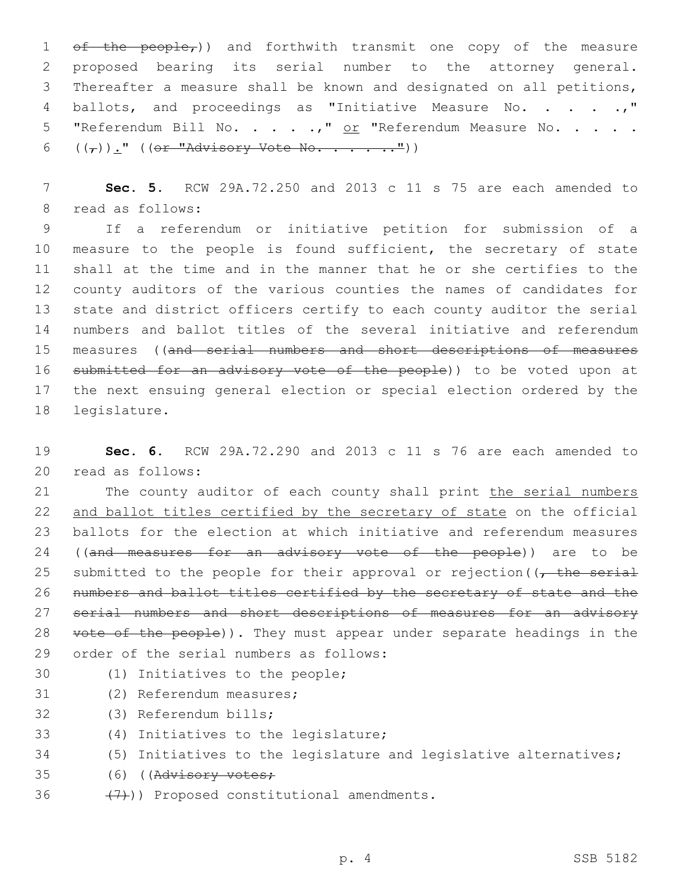$ef$  the people<sub>r</sub>)) and forthwith transmit one copy of the measure proposed bearing its serial number to the attorney general. Thereafter a measure shall be known and designated on all petitions, 4 ballots, and proceedings as "Initiative Measure No. . . . .," 5 "Referendum Bill No. . . . .," or "Referendum Measure No. . . . .  $((\tau))$ ." ((or "Advisory Vote No. . . . .."))

7 **Sec. 5.** RCW 29A.72.250 and 2013 c 11 s 75 are each amended to 8 read as follows:

 If a referendum or initiative petition for submission of a 10 measure to the people is found sufficient, the secretary of state shall at the time and in the manner that he or she certifies to the county auditors of the various counties the names of candidates for state and district officers certify to each county auditor the serial numbers and ballot titles of the several initiative and referendum measures ((and serial numbers and short descriptions of measures 16 submitted for an advisory vote of the people)) to be voted upon at the next ensuing general election or special election ordered by the 18 legislature.

19 **Sec. 6.** RCW 29A.72.290 and 2013 c 11 s 76 are each amended to read as follows:20

21 The county auditor of each county shall print the serial numbers 22 and ballot titles certified by the secretary of state on the official 23 ballots for the election at which initiative and referendum measures 24 ((and measures for an advisory vote of the people)) are to be 25 submitted to the people for their approval or rejection ( $\sqrt{t}$  the serial 26 numbers and ballot titles certified by the secretary of state and the 27 serial numbers and short descriptions of measures for an advisory 28 vote of the people)). They must appear under separate headings in the 29 order of the serial numbers as follows:

- 
- 30 (1) Initiatives to the people;
- 31 (2) Referendum measures;
- 32 (3) Referendum bills;
- 33 (4) Initiatives to the legislature;
- 34 (5) Initiatives to the legislature and legislative alternatives;
- 35 (6) ((Advisory votes;
- 36  $(7)$ ) Proposed constitutional amendments.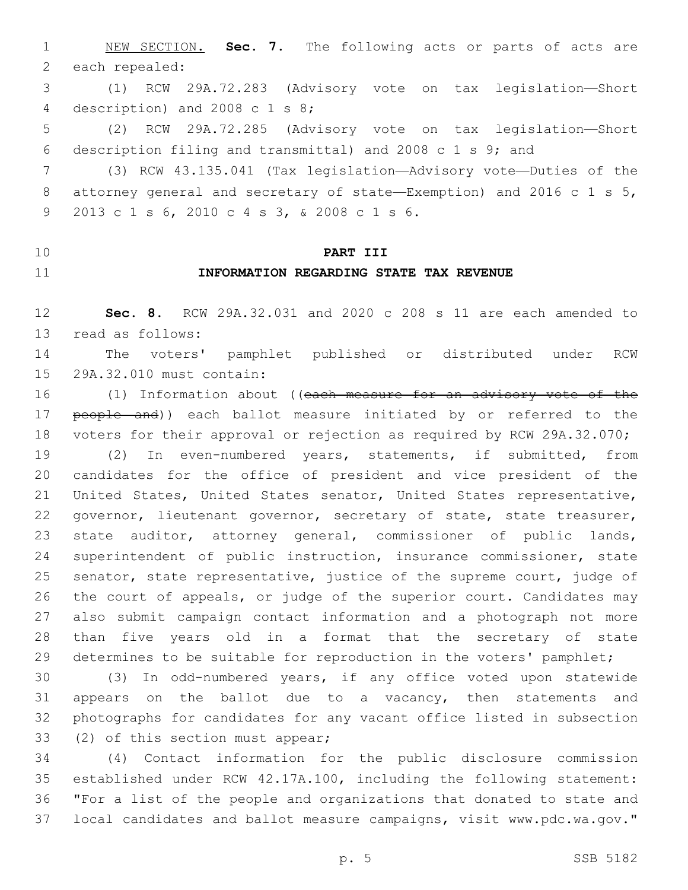NEW SECTION. **Sec. 7.** The following acts or parts of acts are each repealed:

 (1) RCW 29A.72.283 (Advisory vote on tax legislation—Short 4 description) and 2008 c 1 s 8;

 (2) RCW 29A.72.285 (Advisory vote on tax legislation—Short description filing and transmittal) and 2008 c 1 s 9; and

 (3) RCW 43.135.041 (Tax legislation—Advisory vote—Duties of the attorney general and secretary of state—Exemption) and 2016 c 1 s 5, 2013 c 1 s 6, 2010 c 4 s 3, & 2008 c 1 s 6.9

## **PART III**

## **INFORMATION REGARDING STATE TAX REVENUE**

 **Sec. 8.** RCW 29A.32.031 and 2020 c 208 s 11 are each amended to 13 read as follows:

 The voters' pamphlet published or distributed under RCW 15 29A.32.010 must contain:

16 (1) Information about ((each measure for an advisory vote of the 17 people and)) each ballot measure initiated by or referred to the voters for their approval or rejection as required by RCW 29A.32.070;

 (2) In even-numbered years, statements, if submitted, from candidates for the office of president and vice president of the United States, United States senator, United States representative, 22 governor, lieutenant governor, secretary of state, state treasurer, state auditor, attorney general, commissioner of public lands, superintendent of public instruction, insurance commissioner, state senator, state representative, justice of the supreme court, judge of the court of appeals, or judge of the superior court. Candidates may also submit campaign contact information and a photograph not more than five years old in a format that the secretary of state determines to be suitable for reproduction in the voters' pamphlet;

 (3) In odd-numbered years, if any office voted upon statewide 31 appears on the ballot due to a vacancy, then statements and photographs for candidates for any vacant office listed in subsection 33 (2) of this section must appear;

 (4) Contact information for the public disclosure commission established under RCW 42.17A.100, including the following statement: "For a list of the people and organizations that donated to state and local candidates and ballot measure campaigns, visit www.pdc.wa.gov."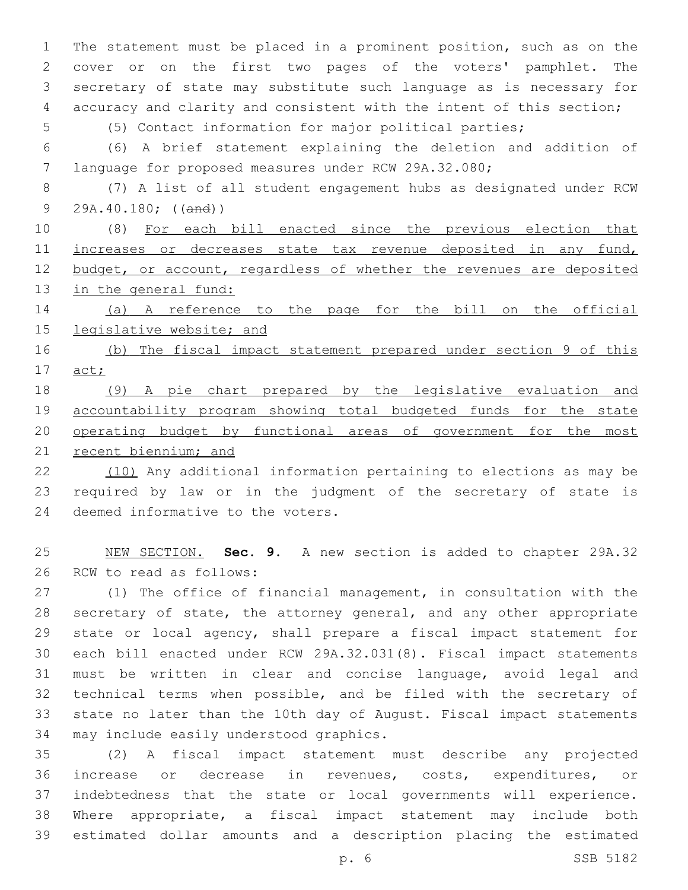The statement must be placed in a prominent position, such as on the cover or on the first two pages of the voters' pamphlet. The secretary of state may substitute such language as is necessary for accuracy and clarity and consistent with the intent of this section;

(5) Contact information for major political parties;

 (6) A brief statement explaining the deletion and addition of language for proposed measures under RCW 29A.32.080;

 (7) A list of all student engagement hubs as designated under RCW 9 29A.40.180; ((and))

 (8) For each bill enacted since the previous election that 11 increases or decreases state tax revenue deposited in any fund, 12 budget, or account, regardless of whether the revenues are deposited 13 in the general fund:

 (a) A reference to the page for the bill on the official legislative website; and

 (b) The fiscal impact statement prepared under section 9 of this act;

 (9) A pie chart prepared by the legislative evaluation and accountability program showing total budgeted funds for the state operating budget by functional areas of government for the most 21 recent biennium; and

 (10) Any additional information pertaining to elections as may be required by law or in the judgment of the secretary of state is 24 deemed informative to the voters.

 NEW SECTION. **Sec. 9.** A new section is added to chapter 29A.32 26 RCW to read as follows:

 (1) The office of financial management, in consultation with the secretary of state, the attorney general, and any other appropriate state or local agency, shall prepare a fiscal impact statement for each bill enacted under RCW 29A.32.031(8). Fiscal impact statements must be written in clear and concise language, avoid legal and technical terms when possible, and be filed with the secretary of state no later than the 10th day of August. Fiscal impact statements 34 may include easily understood graphics.

 (2) A fiscal impact statement must describe any projected increase or decrease in revenues, costs, expenditures, or indebtedness that the state or local governments will experience. Where appropriate, a fiscal impact statement may include both estimated dollar amounts and a description placing the estimated